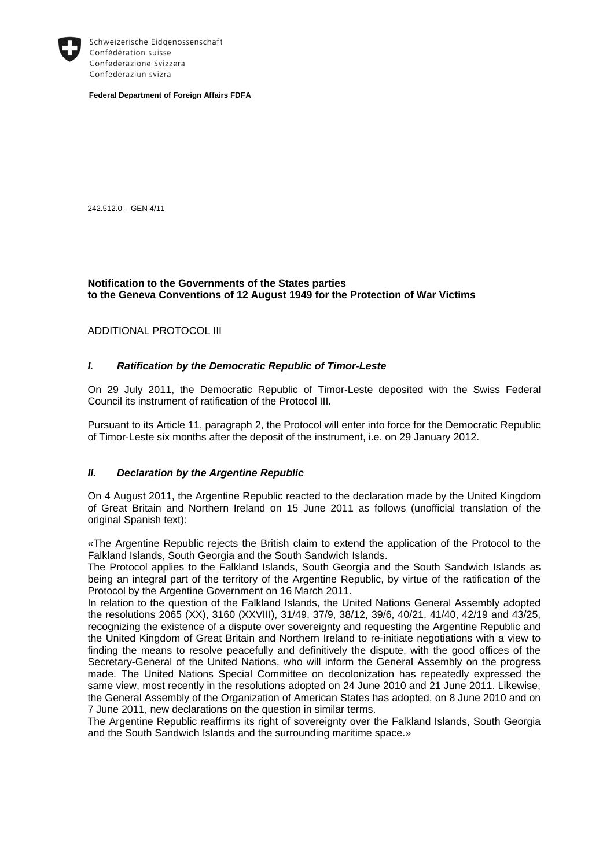

Schweizerische Eidgenossenschaft Confédération suisse Confederazione Svizzera Confederaziun svizra

**Federal Department of Foreign Affairs FDFA**

242.512.0 – GEN 4/11

## **Notification to the Governments of the States parties to the Geneva Conventions of 12 August 1949 for the Protection of War Victims**

ADDITIONAL PROTOCOL III

## *I. Ratification by the Democratic Republic of Timor-Leste*

On 29 July 2011, the Democratic Republic of Timor-Leste deposited with the Swiss Federal Council its instrument of ratification of the Protocol III.

Pursuant to its Article 11, paragraph 2, the Protocol will enter into force for the Democratic Republic of Timor-Leste six months after the deposit of the instrument, i.e. on 29 January 2012.

## *II. Declaration by the Argentine Republic*

On 4 August 2011, the Argentine Republic reacted to the declaration made by the United Kingdom of Great Britain and Northern Ireland on 15 June 2011 as follows (unofficial translation of the original Spanish text):

«The Argentine Republic rejects the British claim to extend the application of the Protocol to the Falkland Islands, South Georgia and the South Sandwich Islands.

The Protocol applies to the Falkland Islands, South Georgia and the South Sandwich Islands as being an integral part of the territory of the Argentine Republic, by virtue of the ratification of the Protocol by the Argentine Government on 16 March 2011.

In relation to the question of the Falkland Islands, the United Nations General Assembly adopted the resolutions 2065 (XX), 3160 (XXVIII), 31/49, 37/9, 38/12, 39/6, 40/21, 41/40, 42/19 and 43/25, recognizing the existence of a dispute over sovereignty and requesting the Argentine Republic and the United Kingdom of Great Britain and Northern Ireland to re-initiate negotiations with a view to finding the means to resolve peacefully and definitively the dispute, with the good offices of the Secretary-General of the United Nations, who will inform the General Assembly on the progress made. The United Nations Special Committee on decolonization has repeatedly expressed the same view, most recently in the resolutions adopted on 24 June 2010 and 21 June 2011. Likewise, the General Assembly of the Organization of American States has adopted, on 8 June 2010 and on 7 June 2011, new declarations on the question in similar terms.

The Argentine Republic reaffirms its right of sovereignty over the Falkland Islands, South Georgia and the South Sandwich Islands and the surrounding maritime space.»